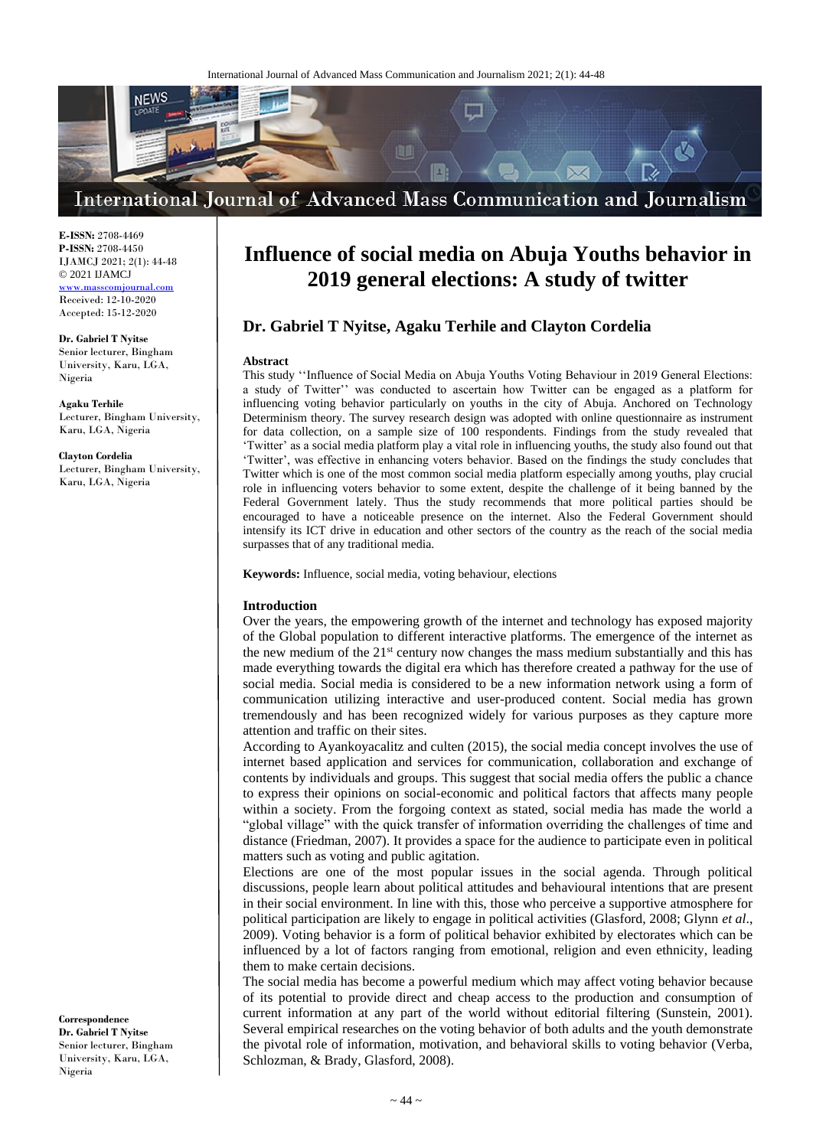

**E-ISSN:** 2708-4469 **P-ISSN:** 2708-4450 IJAMCJ 2021; 2(1): 44-48 © 2021 IJAMCJ

<www.masscomjournal.com> Received: 12-10-2020 Accepted: 15-12-2020

**Dr. Gabriel T Nyitse**  Senior lecturer, Bingham University, Karu, LGA, Nigeria

**Agaku Terhile**  Lecturer, Bingham University, Karu, LGA, Nigeria

**Clayton Cordelia** Lecturer, Bingham University, Karu, LGA, Nigeria

#### **Correspondence Dr. Gabriel T Nyitse**  Senior lecturer, Bingham University, Karu, LGA, Nigeria

# **Influence of social media on Abuja Youths behavior in 2019 general elections: A study of twitter**

## **Dr. Gabriel T Nyitse, Agaku Terhile and Clayton Cordelia**

#### **Abstract**

This study ''Influence of Social Media on Abuja Youths Voting Behaviour in 2019 General Elections: a study of Twitter'' was conducted to ascertain how Twitter can be engaged as a platform for influencing voting behavior particularly on youths in the city of Abuja. Anchored on Technology Determinism theory. The survey research design was adopted with online questionnaire as instrument for data collection, on a sample size of 100 respondents. Findings from the study revealed that 'Twitter' as a social media platform play a vital role in influencing youths, the study also found out that 'Twitter', was effective in enhancing voters behavior. Based on the findings the study concludes that Twitter which is one of the most common social media platform especially among youths, play crucial role in influencing voters behavior to some extent, despite the challenge of it being banned by the Federal Government lately. Thus the study recommends that more political parties should be encouraged to have a noticeable presence on the internet. Also the Federal Government should intensify its ICT drive in education and other sectors of the country as the reach of the social media surpasses that of any traditional media.

**Keywords:** Influence, social media, voting behaviour, elections

#### **Introduction**

Over the years, the empowering growth of the internet and technology has exposed majority of the Global population to different interactive platforms. The emergence of the internet as the new medium of the  $21<sup>st</sup>$  century now changes the mass medium substantially and this has made everything towards the digital era which has therefore created a pathway for the use of social media. Social media is considered to be a new information network using a form of communication utilizing interactive and user-produced content. Social media has grown tremendously and has been recognized widely for various purposes as they capture more attention and traffic on their sites.

According to Ayankoyacalitz and culten (2015), the social media concept involves the use of internet based application and services for communication, collaboration and exchange of contents by individuals and groups. This suggest that social media offers the public a chance to express their opinions on social-economic and political factors that affects many people within a society. From the forgoing context as stated, social media has made the world a "global village" with the quick transfer of information overriding the challenges of time and distance (Friedman, 2007). It provides a space for the audience to participate even in political matters such as voting and public agitation.

Elections are one of the most popular issues in the social agenda. Through political discussions, people learn about political attitudes and behavioural intentions that are present in their social environment. In line with this, those who perceive a supportive atmosphere for political participation are likely to engage in political activities (Glasford, 2008; Glynn *et al*., 2009). Voting behavior is a form of political behavior exhibited by electorates which can be influenced by a lot of factors ranging from emotional, religion and even ethnicity, leading them to make certain decisions.

The social media has become a powerful medium which may affect voting behavior because of its potential to provide direct and cheap access to the production and consumption of current information at any part of the world without editorial filtering (Sunstein, 2001). Several empirical researches on the voting behavior of both adults and the youth demonstrate the pivotal role of information, motivation, and behavioral skills to voting behavior (Verba, Schlozman, & Brady, Glasford, 2008).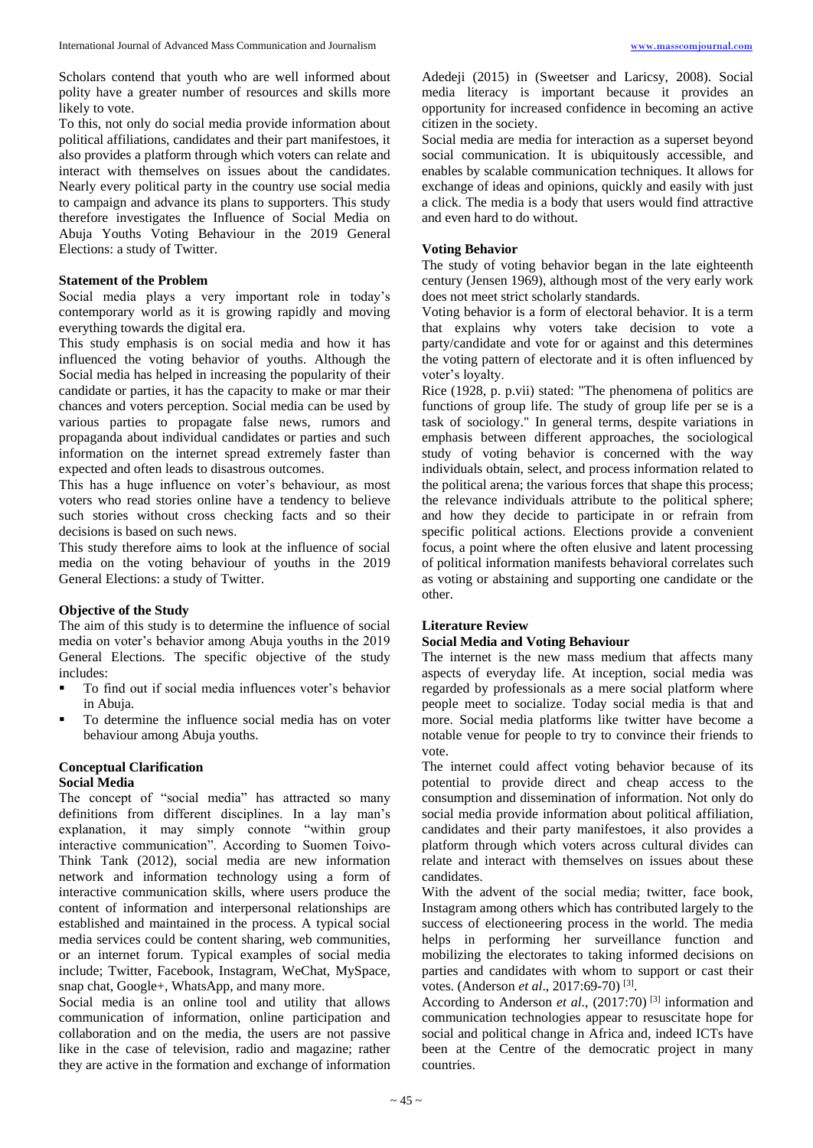Scholars contend that youth who are well informed about polity have a greater number of resources and skills more likely to vote.

To this, not only do social media provide information about political affiliations, candidates and their part manifestoes, it also provides a platform through which voters can relate and interact with themselves on issues about the candidates. Nearly every political party in the country use social media to campaign and advance its plans to supporters. This study therefore investigates the Influence of Social Media on Abuja Youths Voting Behaviour in the 2019 General Elections: a study of Twitter.

### **Statement of the Problem**

Social media plays a very important role in today's contemporary world as it is growing rapidly and moving everything towards the digital era.

This study emphasis is on social media and how it has influenced the voting behavior of youths. Although the Social media has helped in increasing the popularity of their candidate or parties, it has the capacity to make or mar their chances and voters perception. Social media can be used by various parties to propagate false news, rumors and propaganda about individual candidates or parties and such information on the internet spread extremely faster than expected and often leads to disastrous outcomes.

This has a huge influence on voter's behaviour, as most voters who read stories online have a tendency to believe such stories without cross checking facts and so their decisions is based on such news.

This study therefore aims to look at the influence of social media on the voting behaviour of youths in the 2019 General Elections: a study of Twitter.

#### **Objective of the Study**

The aim of this study is to determine the influence of social media on voter's behavior among Abuja youths in the 2019 General Elections. The specific objective of the study includes:

- To find out if social media influences voter's behavior in Abuja.
- To determine the influence social media has on voter behaviour among Abuja youths.

#### **Conceptual Clarification Social Media**

The concept of "social media" has attracted so many definitions from different disciplines. In a lay man's explanation, it may simply connote "within group interactive communication". According to Suomen Toivo-Think Tank (2012), social media are new information network and information technology using a form of interactive communication skills, where users produce the content of information and interpersonal relationships are established and maintained in the process. A typical social media services could be content sharing, web communities, or an internet forum. Typical examples of social media include; Twitter, Facebook, Instagram, WeChat, MySpace, snap chat, Google+, WhatsApp, and many more.

Social media is an online tool and utility that allows communication of information, online participation and collaboration and on the media, the users are not passive like in the case of television, radio and magazine; rather they are active in the formation and exchange of information

Adedeji (2015) in (Sweetser and Laricsy, 2008). Social media literacy is important because it provides an opportunity for increased confidence in becoming an active citizen in the society.

Social media are media for interaction as a superset beyond social communication. It is ubiquitously accessible, and enables by scalable communication techniques. It allows for exchange of ideas and opinions, quickly and easily with just a click. The media is a body that users would find attractive and even hard to do without.

## **Voting Behavior**

The study of voting behavior began in the late eighteenth century (Jensen 1969), although most of the very early work does not meet strict scholarly standards.

Voting behavior is a form of electoral behavior. It is a term that explains why voters take decision to vote a party/candidate and vote for or against and this determines the voting pattern of electorate and it is often influenced by voter's loyalty.

Rice (1928, p. p.vii) stated: "The phenomena of politics are functions of group life. The study of group life per se is a task of sociology." In general terms, despite variations in emphasis between different approaches, the sociological study of voting behavior is concerned with the way individuals obtain, select, and process information related to the political arena; the various forces that shape this process; the relevance individuals attribute to the political sphere; and how they decide to participate in or refrain from specific political actions. Elections provide a convenient focus, a point where the often elusive and latent processing of political information manifests behavioral correlates such as voting or abstaining and supporting one candidate or the other.

## **Literature Review**

## **Social Media and Voting Behaviour**

The internet is the new mass medium that affects many aspects of everyday life. At inception, social media was regarded by professionals as a mere social platform where people meet to socialize. Today social media is that and more. Social media platforms like twitter have become a notable venue for people to try to convince their friends to vote.

The internet could affect voting behavior because of its potential to provide direct and cheap access to the consumption and dissemination of information. Not only do social media provide information about political affiliation, candidates and their party manifestoes, it also provides a platform through which voters across cultural divides can relate and interact with themselves on issues about these candidates.

With the advent of the social media; twitter, face book, Instagram among others which has contributed largely to the success of electioneering process in the world. The media helps in performing her surveillance function and mobilizing the electorates to taking informed decisions on parties and candidates with whom to support or cast their votes. (Anderson et al., 2017:69-70)<sup>[3]</sup>.

According to Anderson *et al*., (2017:70) [3] information and communication technologies appear to resuscitate hope for social and political change in Africa and, indeed ICTs have been at the Centre of the democratic project in many countries.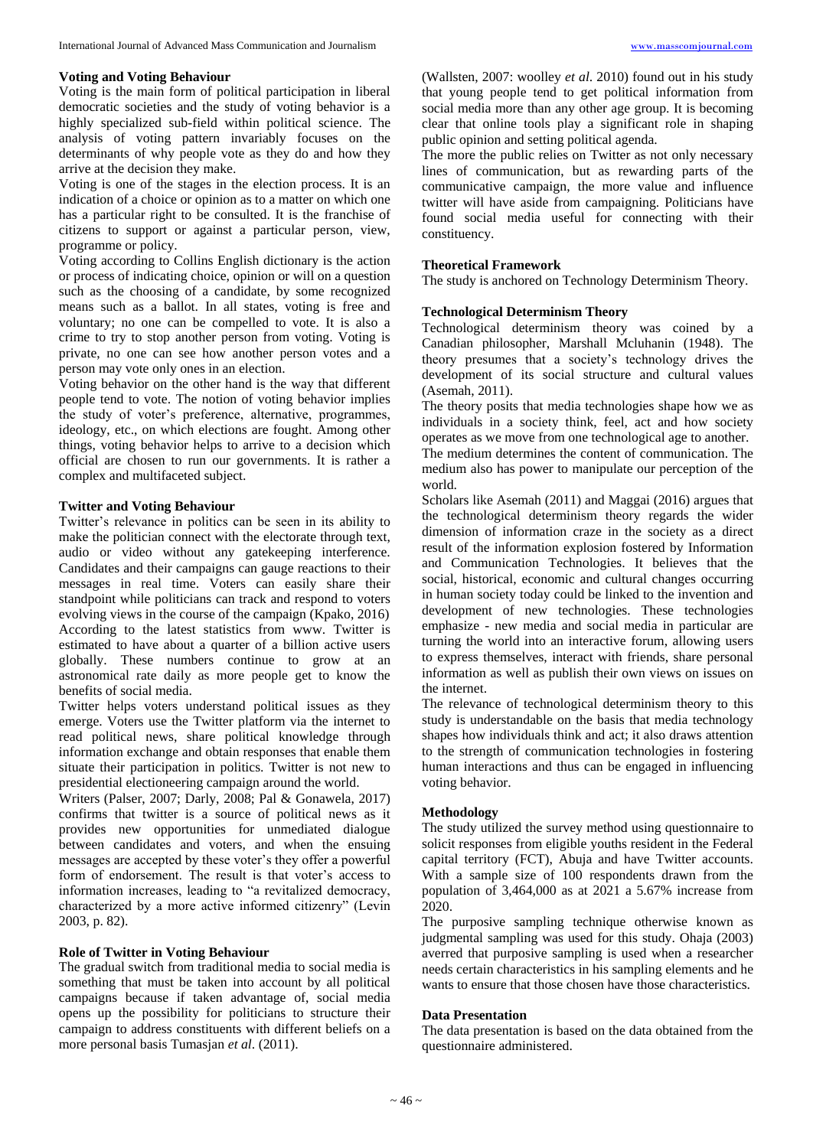#### **Voting and Voting Behaviour**

Voting is the main form of political participation in liberal democratic societies and the study of voting behavior is a highly specialized sub-field within political science. The analysis of voting pattern invariably focuses on the determinants of why people vote as they do and how they arrive at the decision they make.

Voting is one of the stages in the election process. It is an indication of a choice or opinion as to a matter on which one has a particular right to be consulted. It is the franchise of citizens to support or against a particular person, view, programme or policy.

Voting according to Collins English dictionary is the action or process of indicating choice, opinion or will on a question such as the choosing of a candidate, by some recognized means such as a ballot. In all states, voting is free and voluntary; no one can be compelled to vote. It is also a crime to try to stop another person from voting. Voting is private, no one can see how another person votes and a person may vote only ones in an election.

Voting behavior on the other hand is the way that different people tend to vote. The notion of voting behavior implies the study of voter's preference, alternative, programmes, ideology, etc., on which elections are fought. Among other things, voting behavior helps to arrive to a decision which official are chosen to run our governments. It is rather a complex and multifaceted subject.

## **Twitter and Voting Behaviour**

Twitter's relevance in politics can be seen in its ability to make the politician connect with the electorate through text, audio or video without any gatekeeping interference. Candidates and their campaigns can gauge reactions to their messages in real time. Voters can easily share their standpoint while politicians can track and respond to voters evolving views in the course of the campaign (Kpako, 2016) According to the latest statistics from www. Twitter is estimated to have about a quarter of a billion active users globally. These numbers continue to grow at an astronomical rate daily as more people get to know the benefits of social media.

Twitter helps voters understand political issues as they emerge. Voters use the Twitter platform via the internet to read political news, share political knowledge through information exchange and obtain responses that enable them situate their participation in politics. Twitter is not new to presidential electioneering campaign around the world.

Writers (Palser, 2007; Darly, 2008; Pal & Gonawela, 2017) confirms that twitter is a source of political news as it provides new opportunities for unmediated dialogue between candidates and voters, and when the ensuing messages are accepted by these voter's they offer a powerful form of endorsement. The result is that voter's access to information increases, leading to "a revitalized democracy, characterized by a more active informed citizenry" (Levin 2003, p. 82).

#### **Role of Twitter in Voting Behaviour**

The gradual switch from traditional media to social media is something that must be taken into account by all political campaigns because if taken advantage of, social media opens up the possibility for politicians to structure their campaign to address constituents with different beliefs on a more personal basis Tumasjan *et al*. (2011).

(Wallsten, 2007: woolley *et al*. 2010) found out in his study that young people tend to get political information from social media more than any other age group. It is becoming clear that online tools play a significant role in shaping public opinion and setting political agenda.

The more the public relies on Twitter as not only necessary lines of communication, but as rewarding parts of the communicative campaign, the more value and influence twitter will have aside from campaigning. Politicians have found social media useful for connecting with their constituency.

#### **Theoretical Framework**

The study is anchored on Technology Determinism Theory.

#### **Technological Determinism Theory**

Technological determinism theory was coined by a Canadian philosopher, Marshall Mcluhanin (1948). The theory presumes that a society's technology drives the development of its social structure and cultural values (Asemah, 2011).

The theory posits that media technologies shape how we as individuals in a society think, feel, act and how society operates as we move from one technological age to another.

The medium determines the content of communication. The medium also has power to manipulate our perception of the world.

Scholars like Asemah (2011) and Maggai (2016) argues that the technological determinism theory regards the wider dimension of information craze in the society as a direct result of the information explosion fostered by Information and Communication Technologies. It believes that the social, historical, economic and cultural changes occurring in human society today could be linked to the invention and development of new technologies. These technologies emphasize - new media and social media in particular are turning the world into an interactive forum, allowing users to express themselves, interact with friends, share personal information as well as publish their own views on issues on the internet.

The relevance of technological determinism theory to this study is understandable on the basis that media technology shapes how individuals think and act; it also draws attention to the strength of communication technologies in fostering human interactions and thus can be engaged in influencing voting behavior.

## **Methodology**

The study utilized the survey method using questionnaire to solicit responses from eligible youths resident in the Federal capital territory (FCT), Abuja and have Twitter accounts. With a sample size of 100 respondents drawn from the population of 3,464,000 as at 2021 a 5.67% increase from 2020.

The purposive sampling technique otherwise known as judgmental sampling was used for this study. Ohaja (2003) averred that purposive sampling is used when a researcher needs certain characteristics in his sampling elements and he wants to ensure that those chosen have those characteristics.

#### **Data Presentation**

The data presentation is based on the data obtained from the questionnaire administered.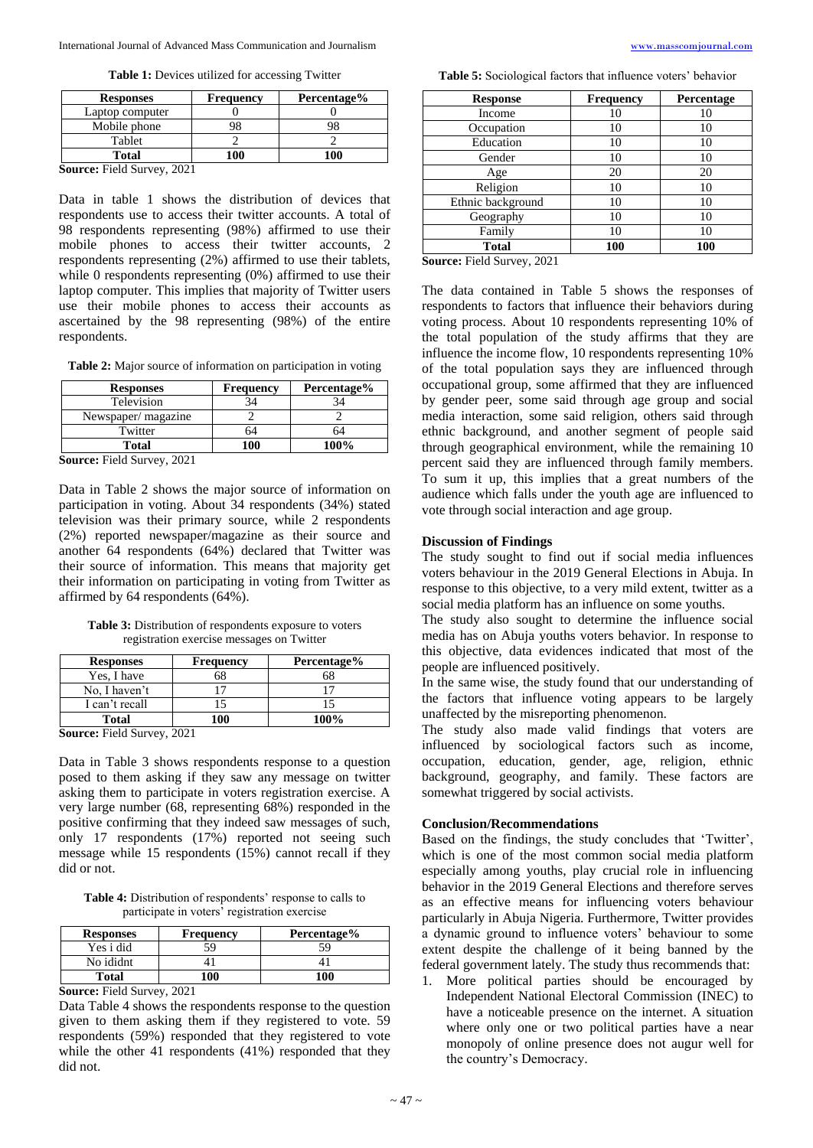**Table 1:** Devices utilized for accessing Twitter

| <b>Responses</b>                        | <b>Frequency</b> | Percentage% |
|-----------------------------------------|------------------|-------------|
| Laptop computer                         |                  |             |
| Mobile phone                            |                  |             |
| Tablet                                  |                  |             |
| Total                                   | 100              | 100         |
| $C_1$ , $C_2$ , $D'$ , $11C_1$ , $2021$ |                  |             |

**Source:** Field Survey, 2021

Data in table 1 shows the distribution of devices that respondents use to access their twitter accounts. A total of 98 respondents representing (98%) affirmed to use their mobile phones to access their twitter accounts, 2 respondents representing (2%) affirmed to use their tablets, while 0 respondents representing (0%) affirmed to use their laptop computer. This implies that majority of Twitter users use their mobile phones to access their accounts as ascertained by the 98 representing (98%) of the entire respondents.

**Table 2:** Major source of information on participation in voting

| Frequency | Percentage% |
|-----------|-------------|
|           |             |
|           |             |
| 74        |             |
| 100       | 100%        |
|           |             |

**Source:** Field Survey, 2021

Data in Table 2 shows the major source of information on participation in voting. About 34 respondents (34%) stated television was their primary source, while 2 respondents (2%) reported newspaper/magazine as their source and another 64 respondents (64%) declared that Twitter was their source of information. This means that majority get their information on participating in voting from Twitter as affirmed by 64 respondents (64%).

**Table 3:** Distribution of respondents exposure to voters registration exercise messages on Twitter

| <b>Responses</b>                                                                                                                                                                                                                                                 | <b>Frequency</b> | Percentage% |
|------------------------------------------------------------------------------------------------------------------------------------------------------------------------------------------------------------------------------------------------------------------|------------------|-------------|
| Yes, I have                                                                                                                                                                                                                                                      | 68               | 68          |
| No, I haven't                                                                                                                                                                                                                                                    |                  |             |
| I can't recall                                                                                                                                                                                                                                                   |                  |             |
| <b>Total</b>                                                                                                                                                                                                                                                     | 100              | 100%        |
| $C_{2}$ $\ldots$ $C_{n}$ $C_{n}$ $C_{n}$ $C_{n}$ $C_{n}$ $C_{n}$ $C_{n}$ $C_{n}$ $C_{n}$ $C_{n}$ $C_{n}$ $C_{n}$ $C_{n}$ $C_{n}$ $C_{n}$ $C_{n}$ $C_{n}$ $C_{n}$ $C_{n}$ $C_{n}$ $C_{n}$ $C_{n}$ $C_{n}$ $C_{n}$ $C_{n}$ $C_{n}$ $C_{n}$ $C_{n}$ $C_{n}$ $C_{n}$ |                  |             |

**Source:** Field Survey, 2021

Data in Table 3 shows respondents response to a question posed to them asking if they saw any message on twitter asking them to participate in voters registration exercise. A very large number (68, representing 68%) responded in the positive confirming that they indeed saw messages of such, only 17 respondents (17%) reported not seeing such message while 15 respondents (15%) cannot recall if they did or not.

**Table 4:** Distribution of respondents' response to calls to participate in voters' registration exercise

| <b>Responses</b> | <b>Frequency</b> | Percentage% |
|------------------|------------------|-------------|
| Yes i did        | 59               | 59          |
| No ididnt        |                  |             |
| Total            | 00               | 100         |

**Source:** Field Survey, 2021

Data Table 4 shows the respondents response to the question given to them asking them if they registered to vote. 59 respondents (59%) responded that they registered to vote while the other 41 respondents (41%) responded that they did not.

**Table 5:** Sociological factors that influence voters' behavior

| <b>Response</b>   | <b>Frequency</b> | <b>Percentage</b> |
|-------------------|------------------|-------------------|
| Income            | 10               | 10                |
| Occupation        | 10               | 10                |
| Education         | 10               | 10                |
| Gender            | 10               | 10                |
| Age               | 20               | 20                |
| Religion          | 10               | 10                |
| Ethnic background | 10               | 10                |
| Geography         | 10               | 10                |
| Family            | 10               | 10                |
| <b>Total</b>      | 100              | 100               |

**Source:** Field Survey, 2021

The data contained in Table 5 shows the responses of respondents to factors that influence their behaviors during voting process. About 10 respondents representing 10% of the total population of the study affirms that they are influence the income flow, 10 respondents representing 10% of the total population says they are influenced through occupational group, some affirmed that they are influenced by gender peer, some said through age group and social media interaction, some said religion, others said through ethnic background, and another segment of people said through geographical environment, while the remaining 10 percent said they are influenced through family members. To sum it up, this implies that a great numbers of the audience which falls under the youth age are influenced to vote through social interaction and age group.

#### **Discussion of Findings**

The study sought to find out if social media influences voters behaviour in the 2019 General Elections in Abuja. In response to this objective, to a very mild extent, twitter as a social media platform has an influence on some youths.

The study also sought to determine the influence social media has on Abuja youths voters behavior. In response to this objective, data evidences indicated that most of the people are influenced positively.

In the same wise, the study found that our understanding of the factors that influence voting appears to be largely unaffected by the misreporting phenomenon.

The study also made valid findings that voters are influenced by sociological factors such as income, occupation, education, gender, age, religion, ethnic background, geography, and family. These factors are somewhat triggered by social activists.

#### **Conclusion/Recommendations**

Based on the findings, the study concludes that 'Twitter', which is one of the most common social media platform especially among youths, play crucial role in influencing behavior in the 2019 General Elections and therefore serves as an effective means for influencing voters behaviour particularly in Abuja Nigeria. Furthermore, Twitter provides a dynamic ground to influence voters' behaviour to some extent despite the challenge of it being banned by the federal government lately. The study thus recommends that:

1. More political parties should be encouraged by Independent National Electoral Commission (INEC) to have a noticeable presence on the internet. A situation where only one or two political parties have a near monopoly of online presence does not augur well for the country's Democracy.